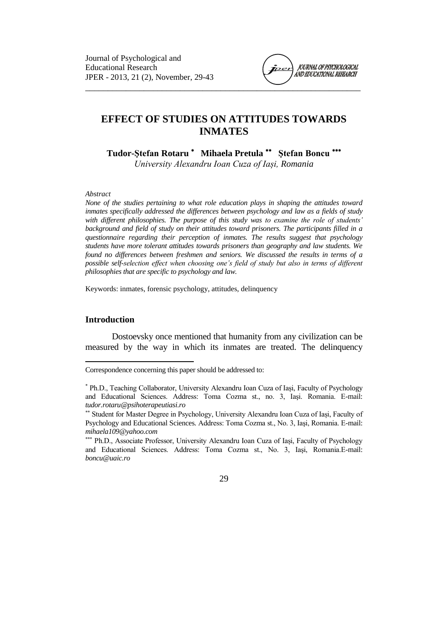

# **EFFECT OF STUDIES ON ATTITUDES TOWARDS INMATES**

**Tudor-Ştefan Rotaru Mihaela Pretula Ştefan Boncu**

*University Alexandru Ioan Cuza of Iași, Romania*

#### *Abstract*

*None of the studies pertaining to what role education plays in shaping the attitudes toward inmates specifically addressed the differences between psychology and law as a fields of study with different philosophies. The purpose of this study was to examine the role of students' background and field of study on their attitudes toward prisoners. The participants filled in a questionnaire regarding their perception of inmates. The results suggest that psychology students have more tolerant attitudes towards prisoners than geography and law students. We found no differences between freshmen and seniors. We discussed the results in terms of a possible self-selection effect when choosing one's field of study but also in terms of different philosophies that are specific to psychology and law.*

Keywords: inmates, forensic psychology, attitudes, delinquency

### **Introduction**

 $\overline{a}$ 

Dostoevsky once mentioned that humanity from any civilization can be measured by the way in which its inmates are treated. The delinquency

Correspondence concerning this paper should be addressed to:

Ph.D., Teaching Collaborator, University Alexandru Ioan Cuza of Iași, Faculty of Psychology and Educational Sciences. Address: Toma Cozma st., no. 3, Iaşi. Romania. E-mail: *tudor.rotaru@psihoterapeutiasi.ro*

Student for Master Degree in Psychology, University Alexandru Ioan Cuza of Iași, Faculty of Psychology and Educational Sciences. Address: Toma Cozma st., No. 3, Iaşi, Romania. E-mail: *mihaela109@yahoo.com*

Ph.D., Associate Professor, University Alexandru Ioan Cuza of Iași, Faculty of Psychology and Educational Sciences. Address: Toma Cozma st., No. 3, Iaşi, Romania.E-mail: *boncu@uaic.ro*

<sup>29</sup>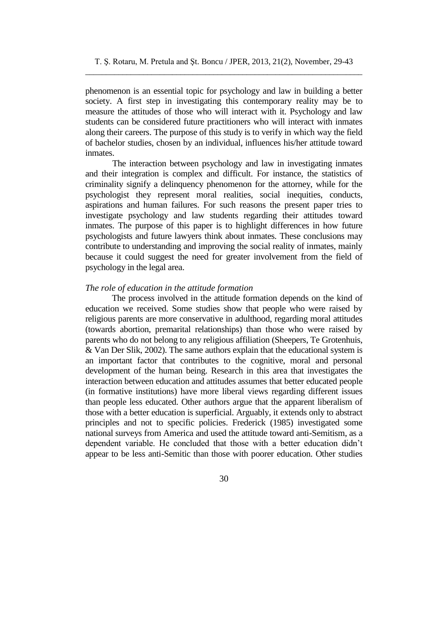phenomenon is an essential topic for psychology and law in building a better society. A first step in investigating this contemporary reality may be to measure the attitudes of those who will interact with it. Psychology and law students can be considered future practitioners who will interact with inmates along their careers. The purpose of this study is to verify in which way the field of bachelor studies, chosen by an individual, influences his/her attitude toward inmates.

The interaction between psychology and law in investigating inmates and their integration is complex and difficult. For instance, the statistics of criminality signify a delinquency phenomenon for the attorney, while for the psychologist they represent moral realities, social inequities, conducts, aspirations and human failures. For such reasons the present paper tries to investigate psychology and law students regarding their attitudes toward inmates. The purpose of this paper is to highlight differences in how future psychologists and future lawyers think about inmates. These conclusions may contribute to understanding and improving the social reality of inmates, mainly because it could suggest the need for greater involvement from the field of psychology in the legal area.

### *The role of education in the attitude formation*

The process involved in the attitude formation depends on the kind of education we received. Some studies show that people who were raised by religious parents are more conservative in adulthood, regarding moral attitudes (towards abortion, premarital relationships) than those who were raised by parents who do not belong to any religious affiliation (Sheepers, Te Grotenhuis, & Van Der Slik, 2002). The same authors explain that the educational system is an important factor that contributes to the cognitive, moral and personal development of the human being. Research in this area that investigates the interaction between education and attitudes assumes that better educated people (in formative institutions) have more liberal views regarding different issues than people less educated. Other authors argue that the apparent liberalism of those with a better education is superficial. Arguably, it extends only to abstract principles and not to specific policies. Frederick (1985) investigated some national surveys from America and used the attitude toward anti-Semitism, as a dependent variable. He concluded that those with a better education didn't appear to be less anti-Semitic than those with poorer education. Other studies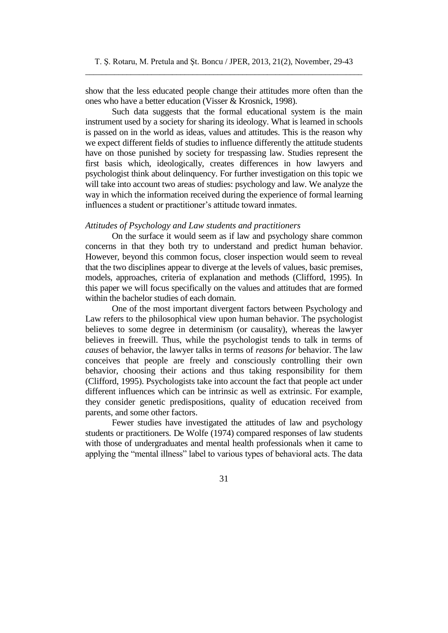show that the less educated people change their attitudes more often than the ones who have a better education (Visser & Krosnick, 1998).

Such data suggests that the formal educational system is the main instrument used by a society for sharing its ideology. What is learned in schools is passed on in the world as ideas, values and attitudes. This is the reason why we expect different fields of studies to influence differently the attitude students have on those punished by society for trespassing law. Studies represent the first basis which, ideologically, creates differences in how lawyers and psychologist think about delinquency. For further investigation on this topic we will take into account two areas of studies: psychology and law. We analyze the way in which the information received during the experience of formal learning influences a student or practitioner's attitude toward inmates.

### *Attitudes of Psychology and Law students and practitioners*

On the surface it would seem as if law and psychology share common concerns in that they both try to understand and predict human behavior. However, beyond this common focus, closer inspection would seem to reveal that the two disciplines appear to diverge at the levels of values, basic premises, models, approaches, criteria of explanation and methods (Clifford, 1995). In this paper we will focus specifically on the values and attitudes that are formed within the bachelor studies of each domain.

One of the most important divergent factors between Psychology and Law refers to the philosophical view upon human behavior. The psychologist believes to some degree in determinism (or causality), whereas the lawyer believes in freewill. Thus, while the psychologist tends to talk in terms of *causes* of behavior, the lawyer talks in terms of *reasons for* behavior. The law conceives that people are freely and consciously controlling their own behavior, choosing their actions and thus taking responsibility for them (Clifford, 1995). Psychologists take into account the fact that people act under different influences which can be intrinsic as well as extrinsic. For example, they consider genetic predispositions, quality of education received from parents, and some other factors.

Fewer studies have investigated the attitudes of law and psychology students or practitioners. De Wolfe (1974) compared responses of law students with those of undergraduates and mental health professionals when it came to applying the "mental illness" label to various types of behavioral acts. The data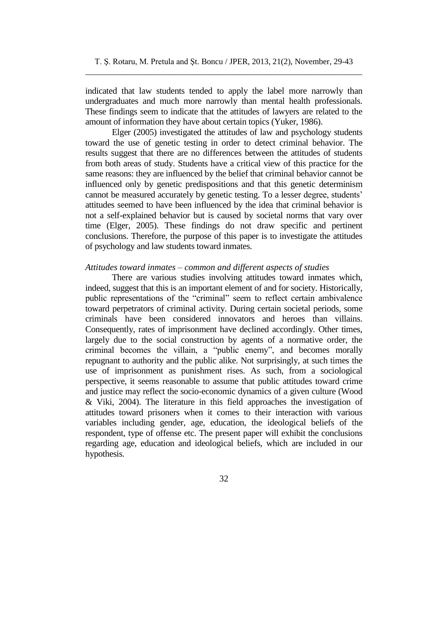indicated that law students tended to apply the label more narrowly than undergraduates and much more narrowly than mental health professionals. These findings seem to indicate that the attitudes of lawyers are related to the amount of information they have about certain topics (Yuker, 1986).

Elger (2005) investigated the attitudes of law and psychology students toward the use of genetic testing in order to detect criminal behavior. The results suggest that there are no differences between the attitudes of students from both areas of study. Students have a critical view of this practice for the same reasons: they are influenced by the belief that criminal behavior cannot be influenced only by genetic predispositions and that this genetic determinism cannot be measured accurately by genetic testing. To a lesser degree, students' attitudes seemed to have been influenced by the idea that criminal behavior is not a self-explained behavior but is caused by societal norms that vary over time (Elger, 2005). These findings do not draw specific and pertinent conclusions. Therefore, the purpose of this paper is to investigate the attitudes of psychology and law students toward inmates.

### *Attitudes toward inmates – common and different aspects of studies*

There are various studies involving attitudes toward inmates which, indeed, suggest that this is an important element of and for society. Historically, public representations of the "criminal" seem to reflect certain ambivalence toward perpetrators of criminal activity. During certain societal periods, some criminals have been considered innovators and heroes than villains. Consequently, rates of imprisonment have declined accordingly. Other times, largely due to the social construction by agents of a normative order, the criminal becomes the villain, a "public enemy", and becomes morally repugnant to authority and the public alike. Not surprisingly, at such times the use of imprisonment as punishment rises. As such, from a sociological perspective, it seems reasonable to assume that public attitudes toward crime and justice may reflect the socio-economic dynamics of a given culture (Wood & Viki, 2004). The literature in this field approaches the investigation of attitudes toward prisoners when it comes to their interaction with various variables including gender, age, education, the ideological beliefs of the respondent, type of offense etc. The present paper will exhibit the conclusions regarding age, education and ideological beliefs, which are included in our hypothesis.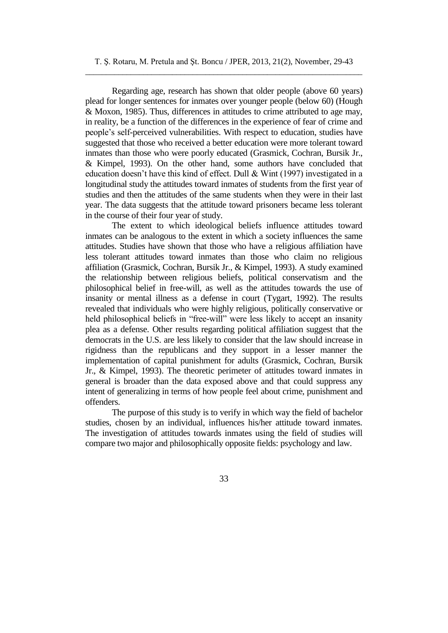### T. Ş. Rotaru, M. Pretula and Şt. Boncu / JPER, 2013, 21(2), November, 29-43 \_\_\_\_\_\_\_\_\_\_\_\_\_\_\_\_\_\_\_\_\_\_\_\_\_\_\_\_\_\_\_\_\_\_\_\_\_\_\_\_\_\_\_\_\_\_\_\_\_\_\_\_\_\_\_\_\_\_\_\_\_\_\_\_\_\_\_

Regarding age, research has shown that older people (above 60 years) plead for longer sentences for inmates over younger people (below 60) (Hough & Moxon, 1985). Thus, differences in attitudes to crime attributed to age may, in reality, be a function of the differences in the experience of fear of crime and people's self-perceived vulnerabilities. With respect to education, studies have suggested that those who received a better education were more tolerant toward inmates than those who were poorly educated (Grasmick, Cochran, Bursik Jr., & Kimpel, 1993). On the other hand, some authors have concluded that education doesn't have this kind of effect. Dull & Wint (1997) investigated in a longitudinal study the attitudes toward inmates of students from the first year of studies and then the attitudes of the same students when they were in their last year. The data suggests that the attitude toward prisoners became less tolerant in the course of their four year of study.

The extent to which ideological beliefs influence attitudes toward inmates can be analogous to the extent in which a society influences the same attitudes. Studies have shown that those who have a religious affiliation have less tolerant attitudes toward inmates than those who claim no religious affiliation (Grasmick, Cochran, Bursik Jr., & Kimpel, 1993). A study examined the relationship between religious beliefs, political conservatism and the philosophical belief in free-will, as well as the attitudes towards the use of insanity or mental illness as a defense in court (Tygart, 1992). The results revealed that individuals who were highly religious, politically conservative or held philosophical beliefs in "free-will" were less likely to accept an insanity plea as a defense. Other results regarding political affiliation suggest that the democrats in the U.S. are less likely to consider that the law should increase in rigidness than the republicans and they support in a lesser manner the implementation of capital punishment for adults (Grasmick, Cochran, Bursik Jr., & Kimpel, 1993). The theoretic perimeter of attitudes toward inmates in general is broader than the data exposed above and that could suppress any intent of generalizing in terms of how people feel about crime, punishment and offenders.

The purpose of this study is to verify in which way the field of bachelor studies, chosen by an individual, influences his/her attitude toward inmates. The investigation of attitudes towards inmates using the field of studies will compare two major and philosophically opposite fields: psychology and law.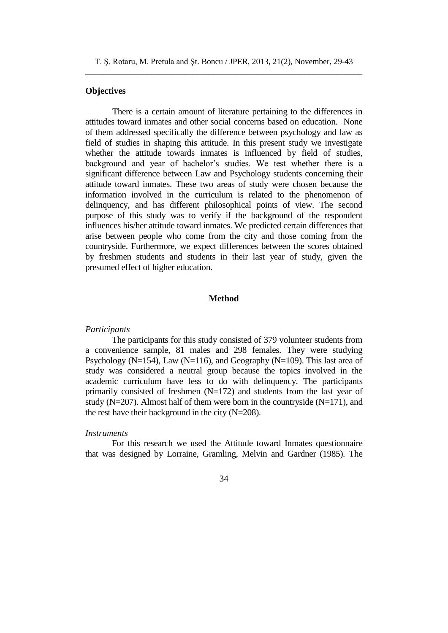T. Ş. Rotaru, M. Pretula and Şt. Boncu / JPER, 2013, 21(2), November, 29-43 \_\_\_\_\_\_\_\_\_\_\_\_\_\_\_\_\_\_\_\_\_\_\_\_\_\_\_\_\_\_\_\_\_\_\_\_\_\_\_\_\_\_\_\_\_\_\_\_\_\_\_\_\_\_\_\_\_\_\_\_\_\_\_\_\_\_\_

### **Objectives**

There is a certain amount of literature pertaining to the differences in attitudes toward inmates and other social concerns based on education. None of them addressed specifically the difference between psychology and law as field of studies in shaping this attitude. In this present study we investigate whether the attitude towards inmates is influenced by field of studies, background and year of bachelor's studies. We test whether there is a significant difference between Law and Psychology students concerning their attitude toward inmates. These two areas of study were chosen because the information involved in the curriculum is related to the phenomenon of delinquency, and has different philosophical points of view. The second purpose of this study was to verify if the background of the respondent influences his/her attitude toward inmates. We predicted certain differences that arise between people who come from the city and those coming from the countryside. Furthermore, we expect differences between the scores obtained by freshmen students and students in their last year of study, given the presumed effect of higher education.

### **Method**

#### *Participants*

The participants for this study consisted of 379 volunteer students from a convenience sample, 81 males and 298 females. They were studying Psychology ( $N=154$ ), Law ( $N=116$ ), and Geography ( $N=109$ ). This last area of study was considered a neutral group because the topics involved in the academic curriculum have less to do with delinquency. The participants primarily consisted of freshmen  $(N=172)$  and students from the last year of study ( $N=207$ ). Almost half of them were born in the countryside ( $N=171$ ), and the rest have their background in the city (N=208).

### *Instruments*

For this research we used the Attitude toward Inmates questionnaire that was designed by Lorraine, Gramling, Melvin and Gardner (1985). The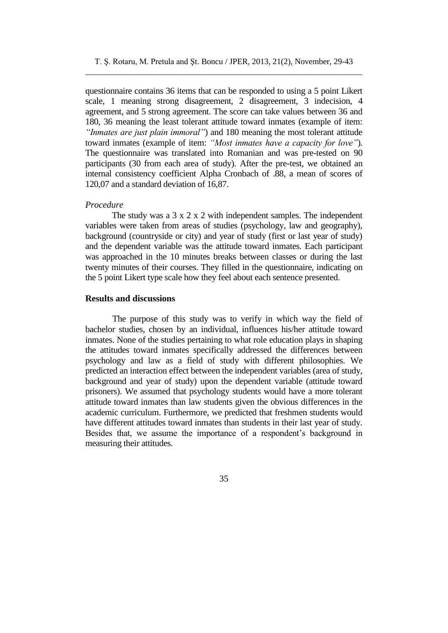questionnaire contains 36 items that can be responded to using a 5 point Likert scale, 1 meaning strong disagreement, 2 disagreement, 3 indecision, 4 agreement, and 5 strong agreement. The score can take values between 36 and 180, 36 meaning the least tolerant attitude toward inmates (example of item: *"Inmates are just plain immoral"*) and 180 meaning the most tolerant attitude toward inmates (example of item: *"Most inmates have a capacity for love"*). The questionnaire was translated into Romanian and was pre-tested on 90 participants (30 from each area of study). After the pre-test, we obtained an internal consistency coefficient Alpha Cronbach of .88, a mean of scores of 120,07 and a standard deviation of 16,87.

### *Procedure*

The study was a 3 x 2 x 2 with independent samples. The independent variables were taken from areas of studies (psychology, law and geography), background (countryside or city) and year of study (first or last year of study) and the dependent variable was the attitude toward inmates. Each participant was approached in the 10 minutes breaks between classes or during the last twenty minutes of their courses. They filled in the questionnaire, indicating on the 5 point Likert type scale how they feel about each sentence presented.

### **Results and discussions**

The purpose of this study was to verify in which way the field of bachelor studies, chosen by an individual, influences his/her attitude toward inmates. None of the studies pertaining to what role education plays in shaping the attitudes toward inmates specifically addressed the differences between psychology and law as a field of study with different philosophies. We predicted an interaction effect between the independent variables (area of study, background and year of study) upon the dependent variable (attitude toward prisoners). We assumed that psychology students would have a more tolerant attitude toward inmates than law students given the obvious differences in the academic curriculum. Furthermore, we predicted that freshmen students would have different attitudes toward inmates than students in their last year of study. Besides that, we assume the importance of a respondent's background in measuring their attitudes.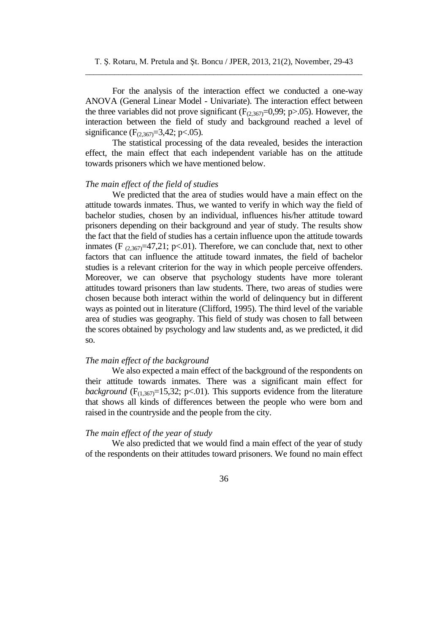For the analysis of the interaction effect we conducted a one-way ANOVA (General Linear Model - Univariate). The interaction effect between the three variables did not prove significant  $(F_{(2,367)}=0.99; p>0.05)$ . However, the interaction between the field of study and background reached a level of significance  $(F_{(2,367)}=3,42; p<.05)$ .

The statistical processing of the data revealed, besides the interaction effect, the main effect that each independent variable has on the attitude towards prisoners which we have mentioned below.

### *The main effect of the field of studies*

We predicted that the area of studies would have a main effect on the attitude towards inmates. Thus, we wanted to verify in which way the field of bachelor studies, chosen by an individual, influences his/her attitude toward prisoners depending on their background and year of study. The results show the fact that the field of studies has a certain influence upon the attitude towards inmates (F  $_{(2,367)}=47,21$ ; p<.01). Therefore, we can conclude that, next to other factors that can influence the attitude toward inmates, the field of bachelor studies is a relevant criterion for the way in which people perceive offenders. Moreover, we can observe that psychology students have more tolerant attitudes toward prisoners than law students. There, two areas of studies were chosen because both interact within the world of delinquency but in different ways as pointed out in literature (Clifford, 1995). The third level of the variable area of studies was geography. This field of study was chosen to fall between the scores obtained by psychology and law students and, as we predicted, it did so.

#### *The main effect of the background*

We also expected a main effect of the background of the respondents on their attitude towards inmates. There was a significant main effect for *background* ( $F_{(1,367)}$ =15,32; p<.01). This supports evidence from the literature that shows all kinds of differences between the people who were born and raised in the countryside and the people from the city.

### *The main effect of the year of study*

We also predicted that we would find a main effect of the year of study of the respondents on their attitudes toward prisoners. We found no main effect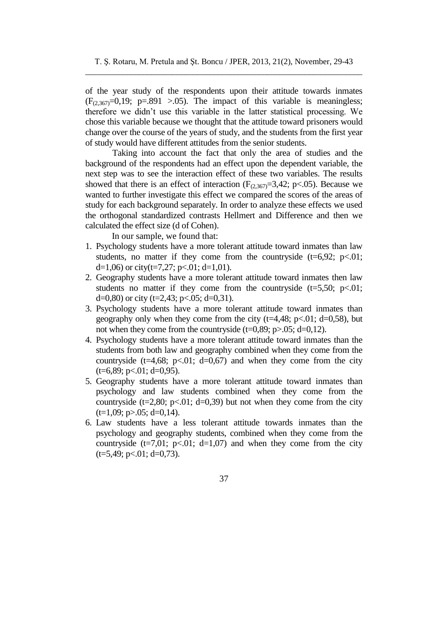of the year study of the respondents upon their attitude towards inmates  $(F<sub>(2,367)</sub>=0,19; p=.891 > .05)$ . The impact of this variable is meaningless; therefore we didn't use this variable in the latter statistical processing. We chose this variable because we thought that the attitude toward prisoners would change over the course of the years of study, and the students from the first year of study would have different attitudes from the senior students.

Taking into account the fact that only the area of studies and the background of the respondents had an effect upon the dependent variable, the next step was to see the interaction effect of these two variables. The results showed that there is an effect of interaction  $(F_{(2,367)}=3,42; p<.05)$ . Because we wanted to further investigate this effect we compared the scores of the areas of study for each background separately. In order to analyze these effects we used the orthogonal standardized contrasts Hellmert and Difference and then we calculated the effect size (d of Cohen).

In our sample, we found that:

- 1. Psychology students have a more tolerant attitude toward inmates than law students, no matter if they come from the countryside  $(t=6.92; p<.01;$ d=1,06) or city(t=7,27; p<.01; d=1,01).
- 2. Geography students have a more tolerant attitude toward inmates then law students no matter if they come from the countryside  $(t=5,50; \, p<.01;$ d=0,80) or city (t=2,43; p<.05; d=0,31).
- 3. Psychology students have a more tolerant attitude toward inmates than geography only when they come from the city  $(t=4,48; p<.01; d=0.58)$ , but not when they come from the countryside  $(t=0.89; p>0.05; d=0.12)$ .
- 4. Psychology students have a more tolerant attitude toward inmates than the students from both law and geography combined when they come from the countryside (t=4,68; p<.01; d=0,67) and when they come from the city  $(t=6,89; p<.01; d=0,95).$
- 5. Geography students have a more tolerant attitude toward inmates than psychology and law students combined when they come from the countryside ( $t=2,80$ ;  $p<.01$ ;  $d=0,39$ ) but not when they come from the city  $(t=1,09; p>0.05; d=0,14)$ .
- 6. Law students have a less tolerant attitude towards inmates than the psychology and geography students, combined when they come from the countryside  $(t=7,01; \ p<0.01; d=1,07)$  and when they come from the city  $(t=5,49; p<.01; d=0,73).$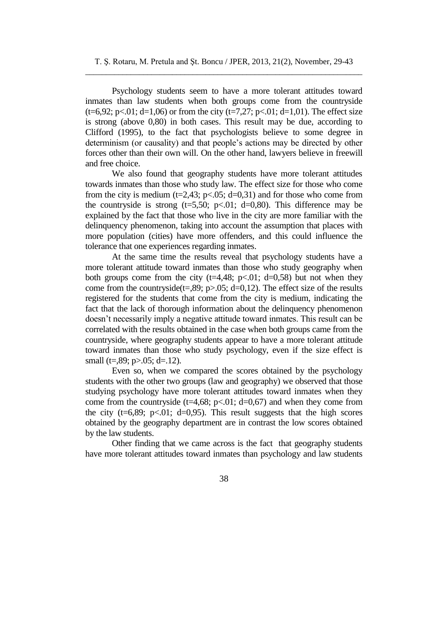Psychology students seem to have a more tolerant attitudes toward inmates than law students when both groups come from the countryside  $(t=6,92; p<.01; d=1,06)$  or from the city  $(t=7,27; p<.01; d=1,01)$ . The effect size is strong (above 0,80) in both cases. This result may be due, according to Clifford (1995), to the fact that psychologists believe to some degree in determinism (or causality) and that people's actions may be directed by other forces other than their own will. On the other hand, lawyers believe in freewill and free choice.

We also found that geography students have more tolerant attitudes towards inmates than those who study law. The effect size for those who come from the city is medium (t=2,43; p<.05; d=0,31) and for those who come from the countryside is strong  $(t=5,50; \, p<0.01; \, d=0.80)$ . This difference may be explained by the fact that those who live in the city are more familiar with the delinquency phenomenon, taking into account the assumption that places with more population (cities) have more offenders, and this could influence the tolerance that one experiences regarding inmates.

At the same time the results reveal that psychology students have a more tolerant attitude toward inmates than those who study geography when both groups come from the city  $(t=4,48; p<.01; d=0.58)$  but not when they come from the countryside(t=,89; p>.05; d=0,12). The effect size of the results registered for the students that come from the city is medium, indicating the fact that the lack of thorough information about the delinquency phenomenon doesn't necessarily imply a negative attitude toward inmates. This result can be correlated with the results obtained in the case when both groups came from the countryside, where geography students appear to have a more tolerant attitude toward inmates than those who study psychology, even if the size effect is small (t=,89; p>.05; d=.12).

Even so, when we compared the scores obtained by the psychology students with the other two groups (law and geography) we observed that those studying psychology have more tolerant attitudes toward inmates when they come from the countryside (t=4,68; p<.01; d=0,67) and when they come from the city ( $t=6,89$ ;  $p<.01$ ;  $d=0,95$ ). This result suggests that the high scores obtained by the geography department are in contrast the low scores obtained by the law students.

Other finding that we came across is the fact that geography students have more tolerant attitudes toward inmates than psychology and law students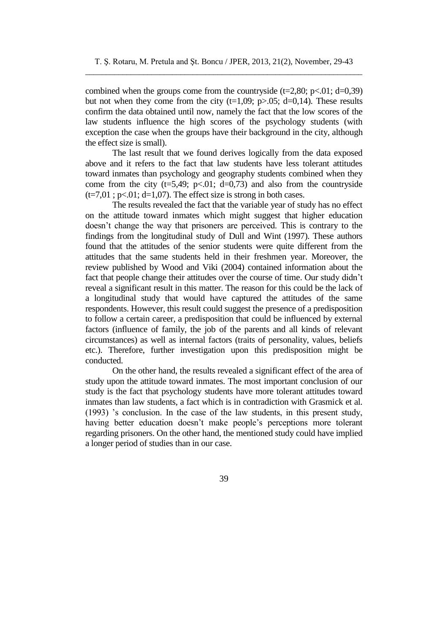combined when the groups come from the countryside  $(t=2,80; p<.01; d=0,39)$ but not when they come from the city  $(t=1,09; p>0.05; d=0,14)$ . These results confirm the data obtained until now, namely the fact that the low scores of the law students influence the high scores of the psychology students (with exception the case when the groups have their background in the city, although the effect size is small).

The last result that we found derives logically from the data exposed above and it refers to the fact that law students have less tolerant attitudes toward inmates than psychology and geography students combined when they come from the city ( $t=5,49$ ;  $p<.01$ ;  $d=0,73$ ) and also from the countryside  $(t=7.01; p<.01; d=1.07)$ . The effect size is strong in both cases.

The results revealed the fact that the variable year of study has no effect on the attitude toward inmates which might suggest that higher education doesn't change the way that prisoners are perceived. This is contrary to the findings from the longitudinal study of Dull and Wint (1997). These authors found that the attitudes of the senior students were quite different from the attitudes that the same students held in their freshmen year. Moreover, the review published by Wood and Viki (2004) contained information about the fact that people change their attitudes over the course of time. Our study didn't reveal a significant result in this matter. The reason for this could be the lack of a longitudinal study that would have captured the attitudes of the same respondents. However, this result could suggest the presence of a predisposition to follow a certain career, a predisposition that could be influenced by external factors (influence of family, the job of the parents and all kinds of relevant circumstances) as well as internal factors (traits of personality, values, beliefs etc.). Therefore, further investigation upon this predisposition might be conducted.

On the other hand, the results revealed a significant effect of the area of study upon the attitude toward inmates. The most important conclusion of our study is the fact that psychology students have more tolerant attitudes toward inmates than law students, a fact which is in contradiction with Grasmick et al. (1993) 's conclusion. In the case of the law students, in this present study, having better education doesn't make people's perceptions more tolerant regarding prisoners. On the other hand, the mentioned study could have implied a longer period of studies than in our case.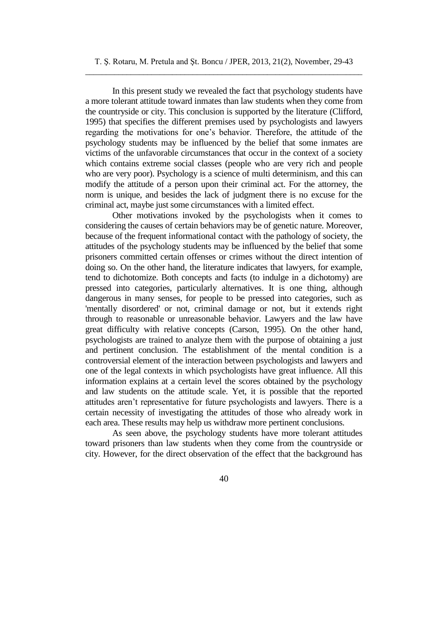In this present study we revealed the fact that psychology students have a more tolerant attitude toward inmates than law students when they come from the countryside or city. This conclusion is supported by the literature (Clifford, 1995) that specifies the different premises used by psychologists and lawyers regarding the motivations for one's behavior. Therefore, the attitude of the psychology students may be influenced by the belief that some inmates are victims of the unfavorable circumstances that occur in the context of a society which contains extreme social classes (people who are very rich and people who are very poor). Psychology is a science of multi determinism, and this can modify the attitude of a person upon their criminal act. For the attorney, the norm is unique, and besides the lack of judgment there is no excuse for the criminal act, maybe just some circumstances with a limited effect.

Other motivations invoked by the psychologists when it comes to considering the causes of certain behaviors may be of genetic nature. Moreover, because of the frequent informational contact with the pathology of society, the attitudes of the psychology students may be influenced by the belief that some prisoners committed certain offenses or crimes without the direct intention of doing so. On the other hand, the literature indicates that lawyers, for example, tend to dichotomize. Both concepts and facts (to indulge in a dichotomy) are pressed into categories, particularly alternatives. It is one thing, although dangerous in many senses, for people to be pressed into categories, such as 'mentally disordered' or not, criminal damage or not, but it extends right through to reasonable or unreasonable behavior. Lawyers and the law have great difficulty with relative concepts (Carson, 1995). On the other hand, psychologists are trained to analyze them with the purpose of obtaining a just and pertinent conclusion. The establishment of the mental condition is a controversial element of the interaction between psychologists and lawyers and one of the legal contexts in which psychologists have great influence. All this information explains at a certain level the scores obtained by the psychology and law students on the attitude scale. Yet, it is possible that the reported attitudes aren't representative for future psychologists and lawyers. There is a certain necessity of investigating the attitudes of those who already work in each area. These results may help us withdraw more pertinent conclusions.

As seen above, the psychology students have more tolerant attitudes toward prisoners than law students when they come from the countryside or city. However, for the direct observation of the effect that the background has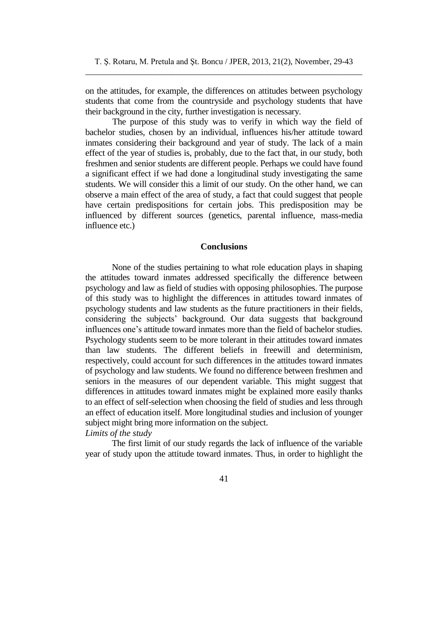on the attitudes, for example, the differences on attitudes between psychology students that come from the countryside and psychology students that have their background in the city, further investigation is necessary.

The purpose of this study was to verify in which way the field of bachelor studies, chosen by an individual, influences his/her attitude toward inmates considering their background and year of study. The lack of a main effect of the year of studies is, probably, due to the fact that, in our study, both freshmen and senior students are different people. Perhaps we could have found a significant effect if we had done a longitudinal study investigating the same students. We will consider this a limit of our study. On the other hand, we can observe a main effect of the area of study, a fact that could suggest that people have certain predispositions for certain jobs. This predisposition may be influenced by different sources (genetics, parental influence, mass-media influence etc.)

### **Conclusions**

None of the studies pertaining to what role education plays in shaping the attitudes toward inmates addressed specifically the difference between psychology and law as field of studies with opposing philosophies. The purpose of this study was to highlight the differences in attitudes toward inmates of psychology students and law students as the future practitioners in their fields, considering the subjects' background. Our data suggests that background influences one's attitude toward inmates more than the field of bachelor studies. Psychology students seem to be more tolerant in their attitudes toward inmates than law students. The different beliefs in freewill and determinism, respectively, could account for such differences in the attitudes toward inmates of psychology and law students. We found no difference between freshmen and seniors in the measures of our dependent variable. This might suggest that differences in attitudes toward inmates might be explained more easily thanks to an effect of self-selection when choosing the field of studies and less through an effect of education itself. More longitudinal studies and inclusion of younger subject might bring more information on the subject.

## *Limits of the study*

The first limit of our study regards the lack of influence of the variable year of study upon the attitude toward inmates. Thus, in order to highlight the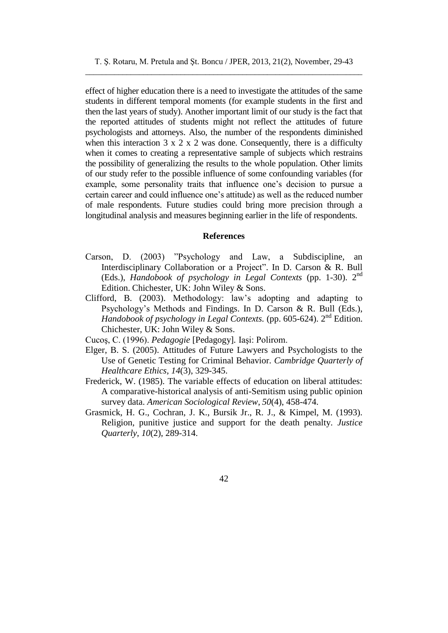effect of higher education there is a need to investigate the attitudes of the same students in different temporal moments (for example students in the first and then the last years of study). Another important limit of our study is the fact that the reported attitudes of students might not reflect the attitudes of future psychologists and attorneys. Also, the number of the respondents diminished when this interaction  $3 \times 2 \times 2$  was done. Consequently, there is a difficulty when it comes to creating a representative sample of subjects which restrains the possibility of generalizing the results to the whole population. Other limits of our study refer to the possible influence of some confounding variables (for example, some personality traits that influence one's decision to pursue a certain career and could influence one's attitude) as well as the reduced number of male respondents. Future studies could bring more precision through a longitudinal analysis and measures beginning earlier in the life of respondents.

#### **References**

- Carson, D. (2003) "Psychology and Law, a Subdiscipline, an Interdisciplinary Collaboration or a Project". In D. Carson & R. Bull (Eds.), *Handobook of psychology in Legal Contexts* (pp. 1-30). 2<sup>nd</sup> Edition. Chichester, UK: John Wiley & Sons.
- Clifford, B. (2003). Methodology: law's adopting and adapting to Psychology's Methods and Findings. In D. Carson & R. Bull (Eds.), Handobook of psychology in Legal Contexts. (pp. 605-624). 2<sup>nd</sup> Edition. Chichester, UK: John Wiley & Sons.
- Cucoş, C. (1996). *Pedagogie* [Pedagogy]*.* Iaşi: Polirom.
- Elger, B. S. (2005). Attitudes of Future Lawyers and Psychologists to the Use of Genetic Testing for Criminal Behavior. *Cambridge Quarterly of Healthcare Ethics*, *14*(3), 329-345.
- Frederick, W. (1985). The variable effects of education on liberal attitudes: A comparative-historical analysis of anti-Semitism using public opinion survey data. *American Sociological Review*, *50*(4), 458-474.
- Grasmick, H. G., Cochran, J. K., Bursik Jr., R. J., & Kimpel, M. (1993). Religion, punitive justice and support for the death penalty. *Justice Quarterly*, *10*(2), 289-314.